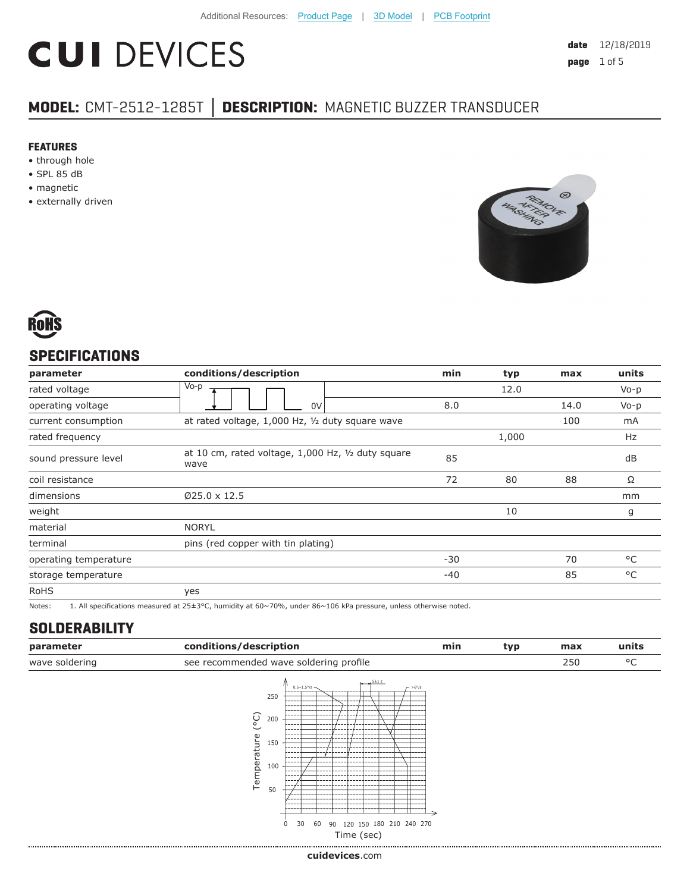# **CUI DEVICES**

## **MODEL:** CMT-2512-1285T **│ DESCRIPTION:** MAGNETIC BUZZER TRANSDUCER

#### **FEATURES**

- through hole
- SPL 85 dB
- magnetic
- externally driven





#### **SPECIFICATIONS**

| parameter             | conditions/description                                     | min   | typ   | max  | units     |
|-----------------------|------------------------------------------------------------|-------|-------|------|-----------|
| rated voltage         | $V_0-p$                                                    |       | 12.0  |      | $V_0 - p$ |
| operating voltage     | 0V                                                         | 8.0   |       | 14.0 | $V_0 - p$ |
| current consumption   | at rated voltage, 1,000 Hz, 1/2 duty square wave           |       |       | 100  | mA        |
| rated frequency       |                                                            |       | 1,000 |      | Hz        |
| sound pressure level  | at 10 cm, rated voltage, 1,000 Hz, 1/2 duty square<br>wave | 85    |       |      | dB        |
| coil resistance       |                                                            | 72    | 80    | 88   | Ω         |
| dimensions            | $Ø25.0 \times 12.5$                                        |       |       |      | mm        |
| weight                |                                                            |       | 10    |      | g         |
| material              | <b>NORYL</b>                                               |       |       |      |           |
| terminal              | pins (red copper with tin plating)                         |       |       |      |           |
| operating temperature |                                                            | $-30$ |       | 70   | °C        |
| storage temperature   |                                                            | -40   |       | 85   | °C        |
| <b>RoHS</b>           | yes                                                        |       |       |      |           |

Notes: 1. All specifications measured at 25±3°C, humidity at 60~70%, under 86~106 kPa pressure, unless otherwise noted.

## **SOLDERABILITY**

| parameter      | conditions/description                 | min | tvr | max | units |
|----------------|----------------------------------------|-----|-----|-----|-------|
| wave soldering | see recommended wave soldering profile |     |     |     |       |



**cui[devices](https://www.cuidevices.com/track?actionLabel=Datasheet-ClickThrough-HomePage&label=CMT-2512-1285T.pdf&path=/)**.com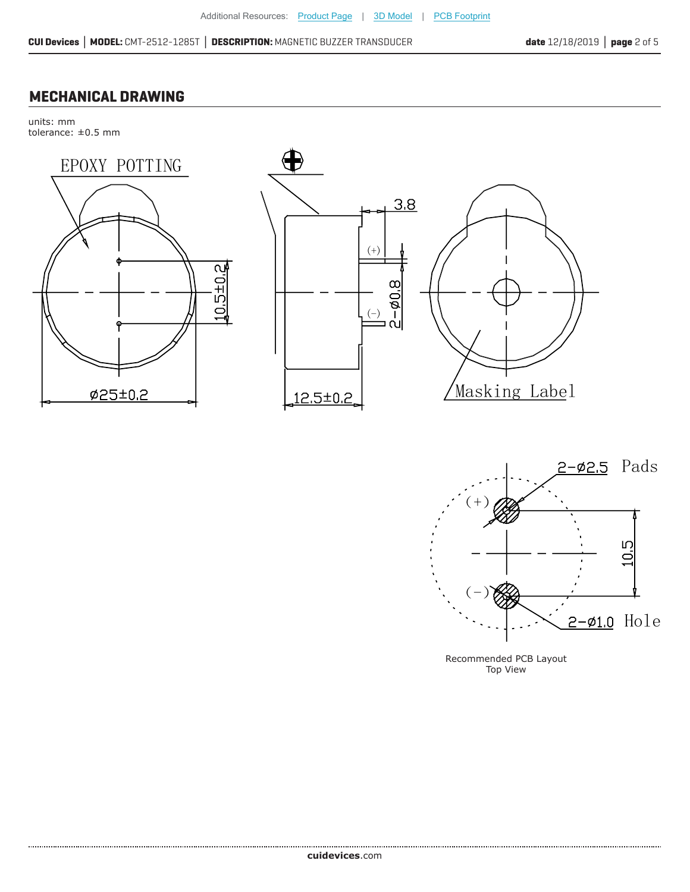#### **MECHANICAL DRAWING**

units: mm tolerance: ±0.5 mm





Recommended PCB Layout Top View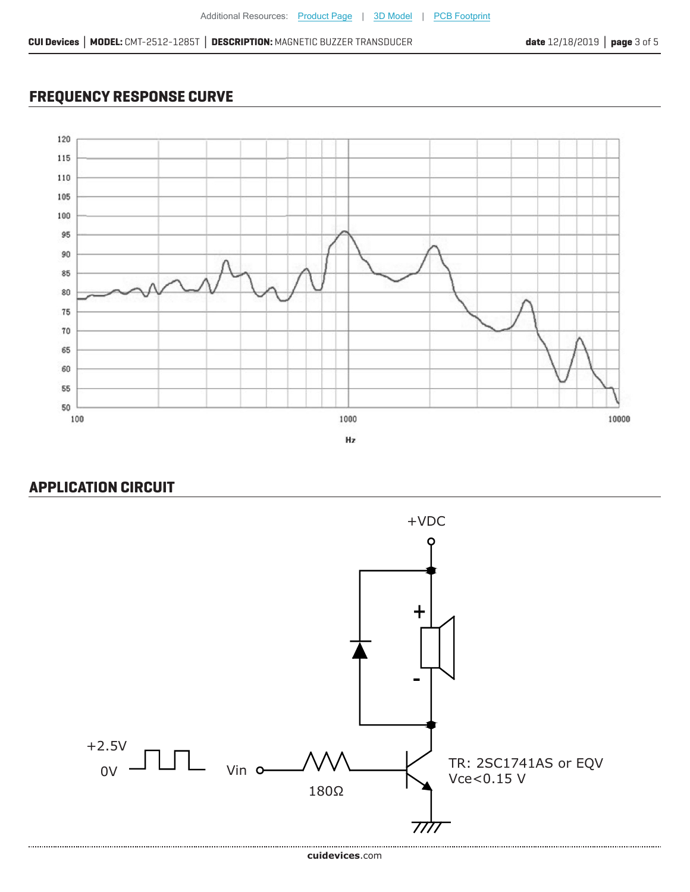## **FREQUENCY RESPONSE CURVE**



#### **APPLICATION CIRCUIT**

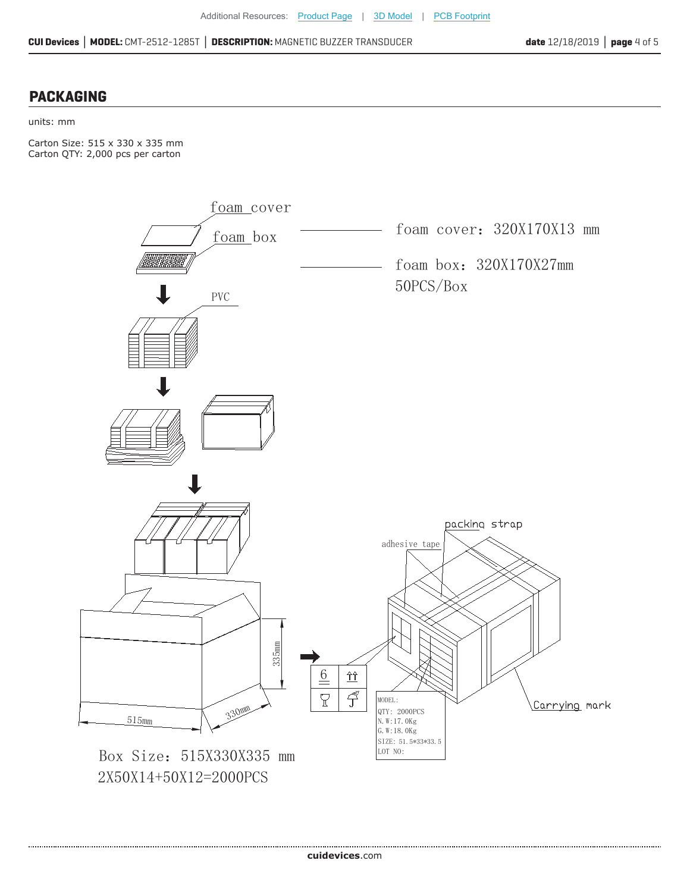**CUI Devices │ MODEL:** CMT-2512-1285T **│ DESCRIPTION:** MAGNETIC BUZZER TRANSDUCER

#### **PACKAGING**

......................................

#### units: mm

Carton Size: 515 x 330 x 335 mm Carton QTY: 2,000 pcs per carton